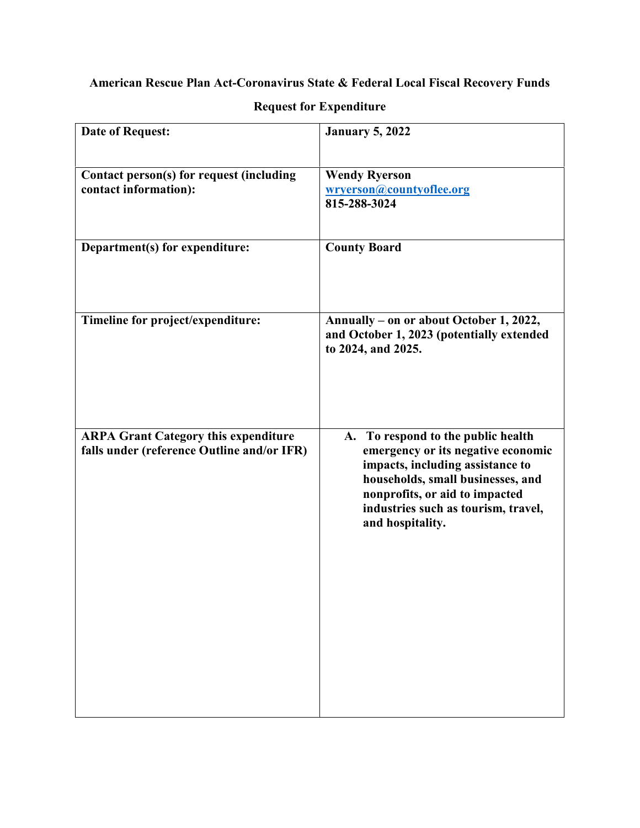## **American Rescue Plan Act-Coronavirus State & Federal Local Fiscal Recovery Funds**

| <b>Date of Request:</b>                                                                   | <b>January 5, 2022</b>                                                                                                                                                                                                                         |
|-------------------------------------------------------------------------------------------|------------------------------------------------------------------------------------------------------------------------------------------------------------------------------------------------------------------------------------------------|
| Contact person(s) for request (including<br>contact information):                         | <b>Wendy Ryerson</b><br>wryerson@countyoflee.org<br>815-288-3024                                                                                                                                                                               |
| Department(s) for expenditure:                                                            | <b>County Board</b>                                                                                                                                                                                                                            |
| Timeline for project/expenditure:                                                         | Annually - on or about October 1, 2022,<br>and October 1, 2023 (potentially extended<br>to 2024, and 2025.                                                                                                                                     |
| <b>ARPA Grant Category this expenditure</b><br>falls under (reference Outline and/or IFR) | A. To respond to the public health<br>emergency or its negative economic<br>impacts, including assistance to<br>households, small businesses, and<br>nonprofits, or aid to impacted<br>industries such as tourism, travel,<br>and hospitality. |

## **Request for Expenditure**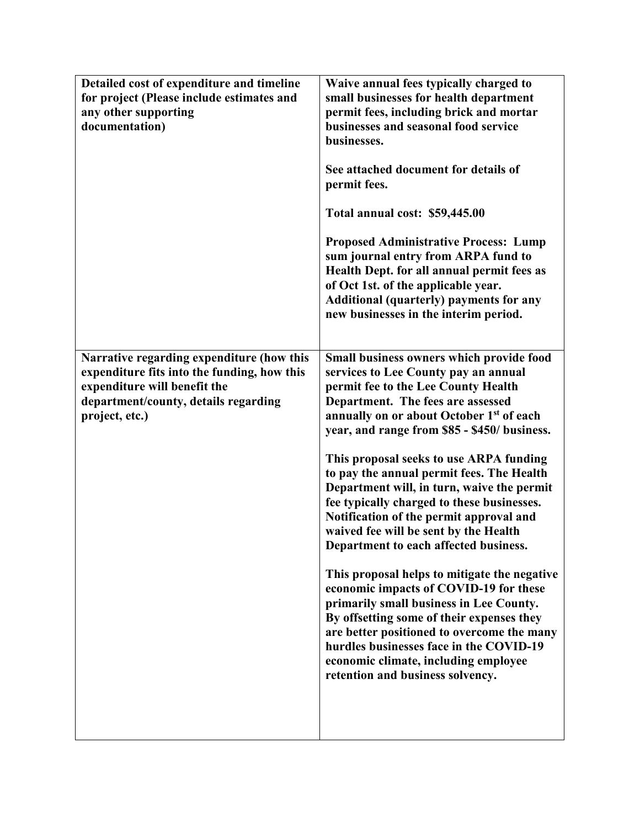| Detailed cost of expenditure and timeline<br>for project (Please include estimates and<br>any other supporting<br>documentation)                                                   | Waive annual fees typically charged to<br>small businesses for health department<br>permit fees, including brick and mortar<br>businesses and seasonal food service<br>businesses.<br>See attached document for details of<br>permit fees.<br>Total annual cost: \$59,445.00<br><b>Proposed Administrative Process: Lump</b><br>sum journal entry from ARPA fund to<br>Health Dept. for all annual permit fees as<br>of Oct 1st. of the applicable year.<br>Additional (quarterly) payments for any<br>new businesses in the interim period.                                                                                                                                                                                                                                                                                                                                                                                                 |
|------------------------------------------------------------------------------------------------------------------------------------------------------------------------------------|----------------------------------------------------------------------------------------------------------------------------------------------------------------------------------------------------------------------------------------------------------------------------------------------------------------------------------------------------------------------------------------------------------------------------------------------------------------------------------------------------------------------------------------------------------------------------------------------------------------------------------------------------------------------------------------------------------------------------------------------------------------------------------------------------------------------------------------------------------------------------------------------------------------------------------------------|
| Narrative regarding expenditure (how this<br>expenditure fits into the funding, how this<br>expenditure will benefit the<br>department/county, details regarding<br>project, etc.) | Small business owners which provide food<br>services to Lee County pay an annual<br>permit fee to the Lee County Health<br>Department. The fees are assessed<br>annually on or about October 1 <sup>st</sup> of each<br>year, and range from \$85 - \$450/ business.<br>This proposal seeks to use ARPA funding<br>to pay the annual permit fees. The Health<br>Department will, in turn, waive the permit<br>fee typically charged to these businesses.<br>Notification of the permit approval and<br>waived fee will be sent by the Health<br>Department to each affected business.<br>This proposal helps to mitigate the negative<br>economic impacts of COVID-19 for these<br>primarily small business in Lee County.<br>By offsetting some of their expenses they<br>are better positioned to overcome the many<br>hurdles businesses face in the COVID-19<br>economic climate, including employee<br>retention and business solvency. |